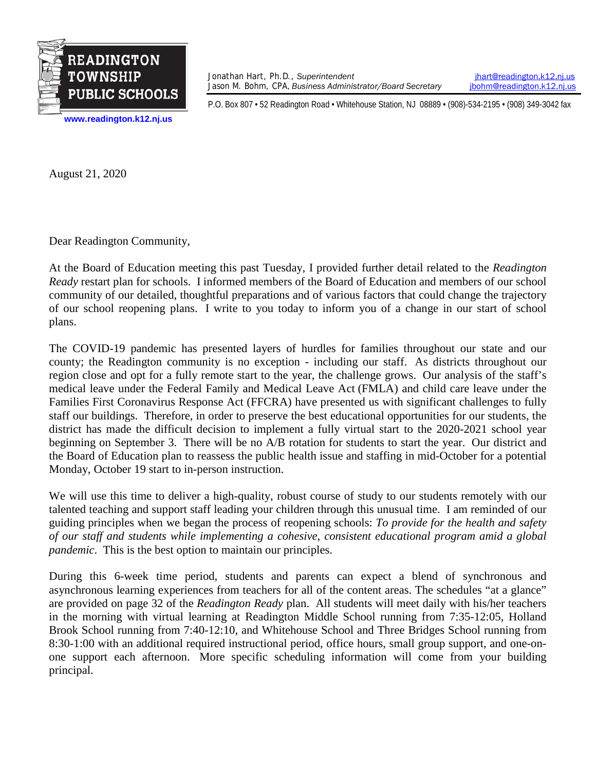

Jonathan Hart, Ph.D., *Superintendent [jhart@readington.k12.nj.us](mailto:jhart@readington.k12.nj.us)*<br>Jason M. Bohm, CPA, Business Administrator/Board Secretary *jhohm@readington.k12.nj.us* Jason M. Bohm, CPA, Business Administrator/Board Secretary

P.O. Box 807 • 52 Readington Road • Whitehouse Station, NJ 08889 • (908)-534-2195 • (908) 349-3042 fax

August 21, 2020

Dear Readington Community,

At the Board of Education meeting this past Tuesday, I provided further detail related to the *Readington Ready* restart plan for schools. I informed members of the Board of Education and members of our school community of our detailed, thoughtful preparations and of various factors that could change the trajectory of our school reopening plans. I write to you today to inform you of a change in our start of school plans.

The COVID-19 pandemic has presented layers of hurdles for families throughout our state and our county; the Readington community is no exception - including our staff. As districts throughout our region close and opt for a fully remote start to the year, the challenge grows. Our analysis of the staff's medical leave under the Federal Family and Medical Leave Act (FMLA) and child care leave under the Families First Coronavirus Response Act (FFCRA) have presented us with significant challenges to fully staff our buildings. Therefore, in order to preserve the best educational opportunities for our students, the district has made the difficult decision to implement a fully virtual start to the 2020-2021 school year beginning on September 3. There will be no A/B rotation for students to start the year. Our district and the Board of Education plan to reassess the public health issue and staffing in mid-October for a potential Monday, October 19 start to in-person instruction.

We will use this time to deliver a high-quality, robust course of study to our students remotely with our talented teaching and support staff leading your children through this unusual time. I am reminded of our guiding principles when we began the process of reopening schools: *To provide for the health and safety of our staff and students while implementing a cohesive, consistent educational program amid a global pandemic*. This is the best option to maintain our principles.

During this 6-week time period, students and parents can expect a blend of synchronous and asynchronous learning experiences from teachers for all of the content areas. The schedules "at a glance" are provided on page 32 of the *Readington Ready* plan. All students will meet daily with his/her teachers in the morning with virtual learning at Readington Middle School running from 7:35-12:05, Holland Brook School running from 7:40-12:10, and Whitehouse School and Three Bridges School running from 8:30-1:00 with an additional required instructional period, office hours, small group support, and one-onone support each afternoon. More specific scheduling information will come from your building principal.